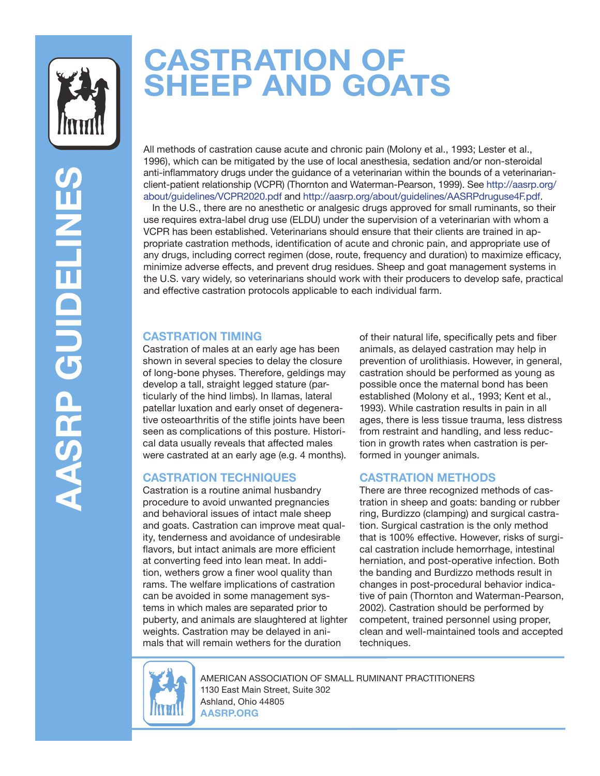

# **CASTRATION OF SHEEP AND GOATS**

All methods of castration cause acute and chronic pain (Molony et al., 1993; Lester et al., 1996), which can be mitigated by the use of local anesthesia, sedation and/or non-steroidal anti-inflammatory drugs under the guidance of a veterinarian within the bounds of a veterinarianclient-patient relationship (VCPR) (Thornton and Waterman-Pearson, 1999). See [http://aasrp.org/](https://aasrp.org/about/guidelines/VCPR2020.pdf) [about/guidelines/VCPR2020.pdf](https://aasrp.org/about/guidelines/VCPR2020.pdf) and [http://aasrp.org/about/guidelines/AASRPdruguse4F.pdf.](https://aasrp.org/about/guidelines/AASRPdruguse4F.pdf)  In the U.S., there are no anesthetic or analgesic drugs approved for small ruminants, so their use requires extra-label drug use (ELDU) under the supervision of a veterinarian with whom a VCPR has been established. Veterinarians should ensure that their clients are trained in appropriate castration methods, identification of acute and chronic pain, and appropriate use of any drugs, including correct regimen (dose, route, frequency and duration) to maximize efficacy, minimize adverse effects, and prevent drug residues. Sheep and goat management systems in the U.S. vary widely, so veterinarians should work with their producers to develop safe, practical and effective castration protocols applicable to each individual farm.

## **CASTRATION TIMING**

Castration of males at an early age has been shown in several species to delay the closure of long-bone physes. Therefore, geldings may develop a tall, straight legged stature (particularly of the hind limbs). In llamas, lateral patellar luxation and early onset of degenerative osteoarthritis of the stifle joints have been seen as complications of this posture. Historical data usually reveals that affected males were castrated at an early age (e.g. 4 months).

## **CASTRATION TECHNIQUES**

Castration is a routine animal husbandry procedure to avoid unwanted pregnancies and behavioral issues of intact male sheep and goats. Castration can improve meat quality, tenderness and avoidance of undesirable flavors, but intact animals are more efficient at converting feed into lean meat. In addition, wethers grow a finer wool quality than rams. The welfare implications of castration can be avoided in some management systems in which males are separated prior to puberty, and animals are slaughtered at lighter weights. Castration may be delayed in animals that will remain wethers for the duration

of their natural life, specifically pets and fiber animals, as delayed castration may help in prevention of urolithiasis. However, in general, castration should be performed as young as possible once the maternal bond has been established (Molony et al., 1993; Kent et al., 1993). While castration results in pain in all ages, there is less tissue trauma, less distress from restraint and handling, and less reduction in growth rates when castration is performed in younger animals.

## **CASTRATION METHODS**

There are three recognized methods of castration in sheep and goats: banding or rubber ring, Burdizzo (clamping) and surgical castration. Surgical castration is the only method that is 100% effective. However, risks of surgical castration include hemorrhage, intestinal herniation, and post-operative infection. Both the banding and Burdizzo methods result in changes in post-procedural behavior indicative of pain (Thornton and Waterman-Pearson, 2002). Castration should be performed by competent, trained personnel using proper, clean and well-maintained tools and accepted techniques.



AMERICAN ASSOCIATION OF SMALL RUMINANT PRACTITIONERS 1130 East Main Street, Suite 302 Ashland, Ohio 44805 **AASRP.ORG**